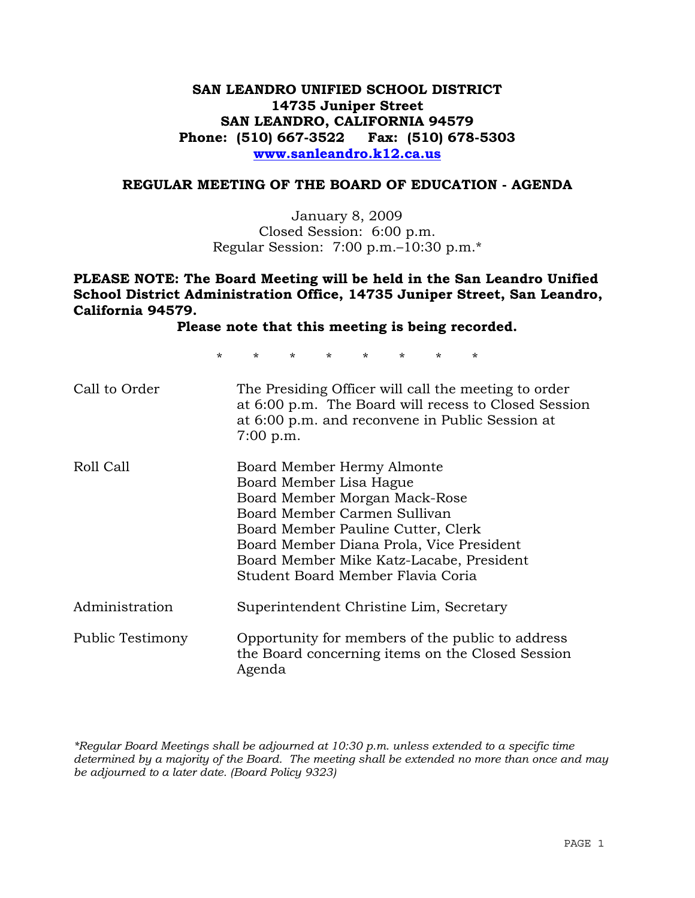# **SAN LEANDRO UNIFIED SCHOOL DISTRICT 14735 Juniper Street SAN LEANDRO, CALIFORNIA 94579 Phone: (510) 667-3522 Fax: (510) 678-5303 www.sanleandro.k12.ca.us**

### **REGULAR MEETING OF THE BOARD OF EDUCATION - AGENDA**

January 8, 2009 Closed Session: 6:00 p.m. Regular Session: 7:00 p.m.–10:30 p.m.\*

## **PLEASE NOTE: The Board Meeting will be held in the San Leandro Unified School District Administration Office, 14735 Juniper Street, San Leandro, California 94579.**

**Please note that this meeting is being recorded.**

\* \* \* \* \* \* \* \*

| Call to Order    | The Presiding Officer will call the meeting to order<br>at 6:00 p.m. The Board will recess to Closed Session<br>at 6:00 p.m. and reconvene in Public Session at<br>7:00 p.m.                                                                                                              |
|------------------|-------------------------------------------------------------------------------------------------------------------------------------------------------------------------------------------------------------------------------------------------------------------------------------------|
| Roll Call        | Board Member Hermy Almonte<br>Board Member Lisa Hague<br>Board Member Morgan Mack-Rose<br>Board Member Carmen Sullivan<br>Board Member Pauline Cutter, Clerk<br>Board Member Diana Prola, Vice President<br>Board Member Mike Katz-Lacabe, President<br>Student Board Member Flavia Coria |
| Administration   | Superintendent Christine Lim, Secretary                                                                                                                                                                                                                                                   |
| Public Testimony | Opportunity for members of the public to address<br>the Board concerning items on the Closed Session<br>Agenda                                                                                                                                                                            |

*\*Regular Board Meetings shall be adjourned at 10:30 p.m. unless extended to a specific time determined by a majority of the Board. The meeting shall be extended no more than once and may be adjourned to a later date. (Board Policy 9323)*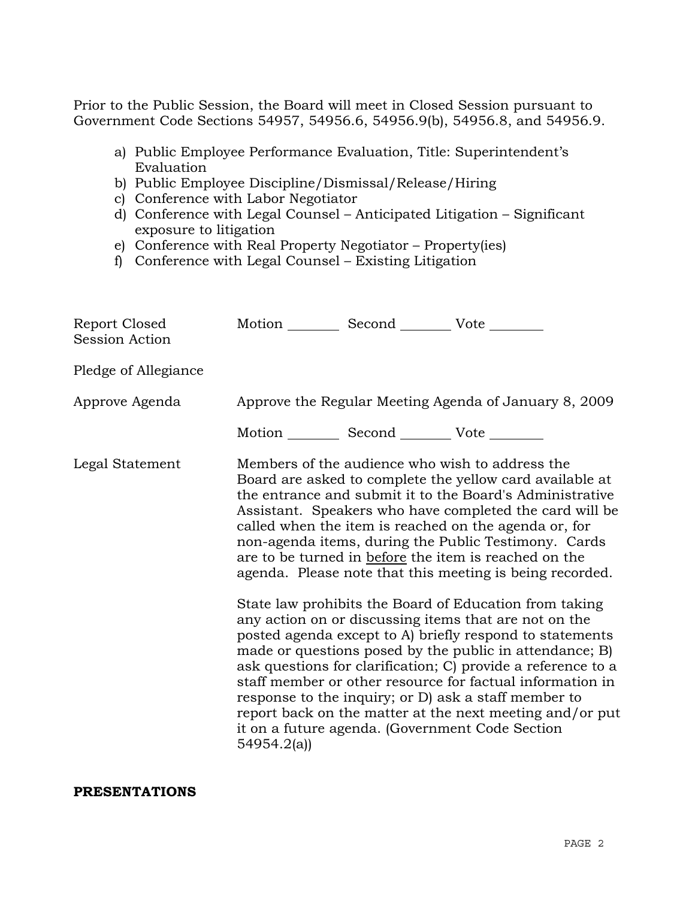Prior to the Public Session, the Board will meet in Closed Session pursuant to Government Code Sections 54957, 54956.6, 54956.9(b), 54956.8, and 54956.9.

- a) Public Employee Performance Evaluation, Title: Superintendent's Evaluation
- b) Public Employee Discipline/Dismissal/Release/Hiring
- c) Conference with Labor Negotiator
- d) Conference with Legal Counsel Anticipated Litigation Significant exposure to litigation
- e) Conference with Real Property Negotiator Property(ies)
- f) Conference with Legal Counsel Existing Litigation

| Report Closed<br>Session Action | Motion __________ Second __________ Vote ________ |                                                                                                                                                                                                                                                                                                                                                                                                                                                                                                                                                                                                                                                                                                                                                                                                                                                                                                                                                                                                                        |
|---------------------------------|---------------------------------------------------|------------------------------------------------------------------------------------------------------------------------------------------------------------------------------------------------------------------------------------------------------------------------------------------------------------------------------------------------------------------------------------------------------------------------------------------------------------------------------------------------------------------------------------------------------------------------------------------------------------------------------------------------------------------------------------------------------------------------------------------------------------------------------------------------------------------------------------------------------------------------------------------------------------------------------------------------------------------------------------------------------------------------|
| Pledge of Allegiance            |                                                   |                                                                                                                                                                                                                                                                                                                                                                                                                                                                                                                                                                                                                                                                                                                                                                                                                                                                                                                                                                                                                        |
| Approve Agenda                  |                                                   | Approve the Regular Meeting Agenda of January 8, 2009                                                                                                                                                                                                                                                                                                                                                                                                                                                                                                                                                                                                                                                                                                                                                                                                                                                                                                                                                                  |
|                                 | Motion __________ Second __________ Vote ________ |                                                                                                                                                                                                                                                                                                                                                                                                                                                                                                                                                                                                                                                                                                                                                                                                                                                                                                                                                                                                                        |
| Legal Statement                 | 54954.2(a)                                        | Members of the audience who wish to address the<br>Board are asked to complete the yellow card available at<br>the entrance and submit it to the Board's Administrative<br>Assistant. Speakers who have completed the card will be<br>called when the item is reached on the agenda or, for<br>non-agenda items, during the Public Testimony. Cards<br>are to be turned in before the item is reached on the<br>agenda. Please note that this meeting is being recorded.<br>State law prohibits the Board of Education from taking<br>any action on or discussing items that are not on the<br>posted agenda except to A) briefly respond to statements<br>made or questions posed by the public in attendance; B)<br>ask questions for clarification; C) provide a reference to a<br>staff member or other resource for factual information in<br>response to the inquiry; or D) ask a staff member to<br>report back on the matter at the next meeting and/or put<br>it on a future agenda. (Government Code Section |

### **PRESENTATIONS**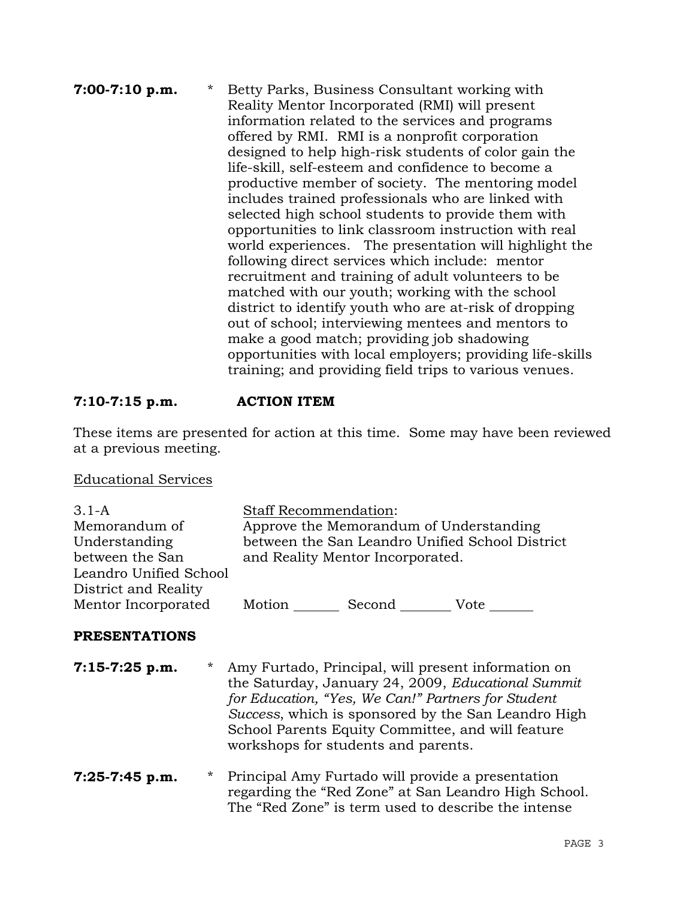## **7:00-7:10 p.m.** \* Betty Parks, Business Consultant working with Reality Mentor Incorporated (RMI) will present information related to the services and programs offered by RMI. RMI is a nonprofit corporation designed to help high-risk students of color gain the life-skill, self-esteem and confidence to become a productive member of society. The mentoring model includes trained professionals who are linked with selected high school students to provide them with opportunities to link classroom instruction with real world experiences. The presentation will highlight the following direct services which include: mentor recruitment and training of adult volunteers to be matched with our youth; working with the school district to identify youth who are at-risk of dropping out of school; interviewing mentees and mentors to make a good match; providing job shadowing opportunities with local employers; providing life-skills training; and providing field trips to various venues.

# **7:10-7:15 p.m. ACTION ITEM**

These items are presented for action at this time. Some may have been reviewed at a previous meeting.

### Educational Services

| $3.1-A$                | <b>Staff Recommendation:</b> |                                         |                                                 |
|------------------------|------------------------------|-----------------------------------------|-------------------------------------------------|
| Memorandum of          |                              | Approve the Memorandum of Understanding |                                                 |
| Understanding          |                              |                                         | between the San Leandro Unified School District |
| between the San        |                              | and Reality Mentor Incorporated.        |                                                 |
| Leandro Unified School |                              |                                         |                                                 |
| District and Reality   |                              |                                         |                                                 |
| Mentor Incorporated    | Motion                       | Second                                  | Vote                                            |

### **PRESENTATIONS**

- **7:15-7:25 p.m.** \* Amy Furtado, Principal, will present information on the Saturday, January 24, 2009, *Educational Summit for Education, "Yes, We Can!" Partners for Student Success*, which is sponsored by the San Leandro High School Parents Equity Committee, and will feature workshops for students and parents.
- **7:25-7:45 p.m.** \* Principal Amy Furtado will provide a presentation regarding the "Red Zone" at San Leandro High School. The "Red Zone" is term used to describe the intense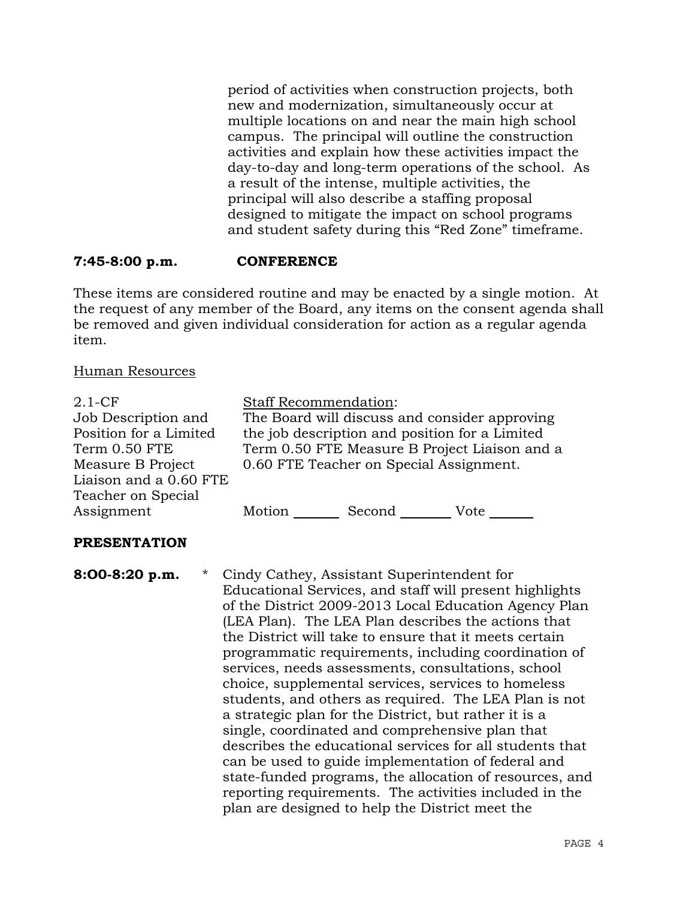period of activities when construction projects, both new and modernization, simultaneously occur at multiple locations on and near the main high school campus. The principal will outline the construction activities and explain how these activities impact the day-to-day and long-term operations of the school. As a result of the intense, multiple activities, the principal will also describe a staffing proposal designed to mitigate the impact on school programs and student safety during this "Red Zone" timeframe.

# **7:45-8:00 p.m. CONFERENCE**

These items are considered routine and may be enacted by a single motion. At the request of any member of the Board, any items on the consent agenda shall be removed and given individual consideration for action as a regular agenda item.

# Human Resources

| $2.1 - CF$<br>Job Description and<br>Position for a Limited<br>Term 0.50 FTE<br>Measure B Project<br>Liaison and a 0.60 FTE | <b>Staff Recommendation:</b> | the job description and position for a Limited<br>0.60 FTE Teacher on Special Assignment. | The Board will discuss and consider approving<br>Term 0.50 FTE Measure B Project Liaison and a |
|-----------------------------------------------------------------------------------------------------------------------------|------------------------------|-------------------------------------------------------------------------------------------|------------------------------------------------------------------------------------------------|
| Teacher on Special<br>Assignment                                                                                            | Motion                       | Second                                                                                    | Vote                                                                                           |

# **PRESENTATION**

**8:O0-8:20 p.m.** \* Cindy Cathey, Assistant Superintendent for Educational Services, and staff will present highlights of the District 2009-2013 Local Education Agency Plan (LEA Plan). The LEA Plan describes the actions that the District will take to ensure that it meets certain programmatic requirements, including coordination of services, needs assessments, consultations, school choice, supplemental services, services to homeless students, and others as required. The LEA Plan is not a strategic plan for the District, but rather it is a single, coordinated and comprehensive plan that describes the educational services for all students that can be used to guide implementation of federal and state-funded programs, the allocation of resources, and reporting requirements. The activities included in the plan are designed to help the District meet the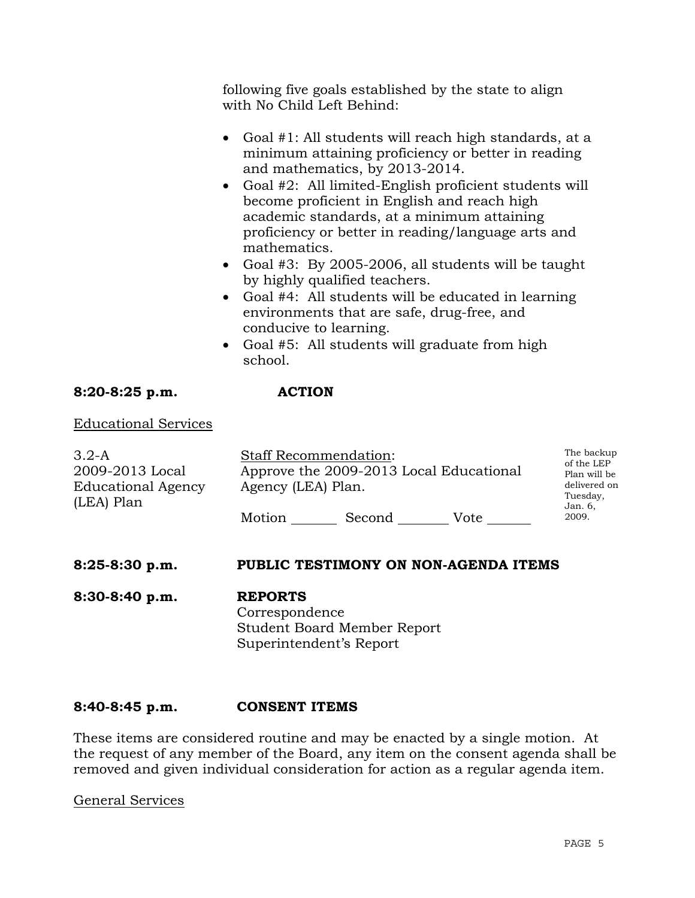following five goals established by the state to align with No Child Left Behind:

- Goal #1: All students will reach high standards, at a minimum attaining proficiency or better in reading and mathematics, by 2013-2014.
- Goal #2: All limited-English proficient students will become proficient in English and reach high academic standards, at a minimum attaining proficiency or better in reading/language arts and mathematics.
- Goal #3: By 2005-2006, all students will be taught by highly qualified teachers.
- Goal #4: All students will be educated in learning environments that are safe, drug-free, and conducive to learning.
- Goal #5: All students will graduate from high school.

# **8:20-8:25 p.m. ACTION**

Educational Services

| $3.2-A$<br>2009-2013 Local<br><b>Educational Agency</b> | <b>Staff Recommendation:</b><br>Approve the 2009-2013 Local Educational<br>Agency (LEA) Plan. |        |      | The backup<br>of the LEP<br>Plan will be<br>delivered on<br>Tuesday, |
|---------------------------------------------------------|-----------------------------------------------------------------------------------------------|--------|------|----------------------------------------------------------------------|
| (LEA) Plan                                              | Motion                                                                                        | Second | Vote | Jan. 6,<br>2009.                                                     |

### **8:25-8:30 p.m. PUBLIC TESTIMONY ON NON-AGENDA ITEMS**

**8:30-8:40 p.m. REPORTS** Correspondence Student Board Member Report Superintendent's Report

### **8:40-8:45 p.m. CONSENT ITEMS**

These items are considered routine and may be enacted by a single motion. At the request of any member of the Board, any item on the consent agenda shall be removed and given individual consideration for action as a regular agenda item.

General Services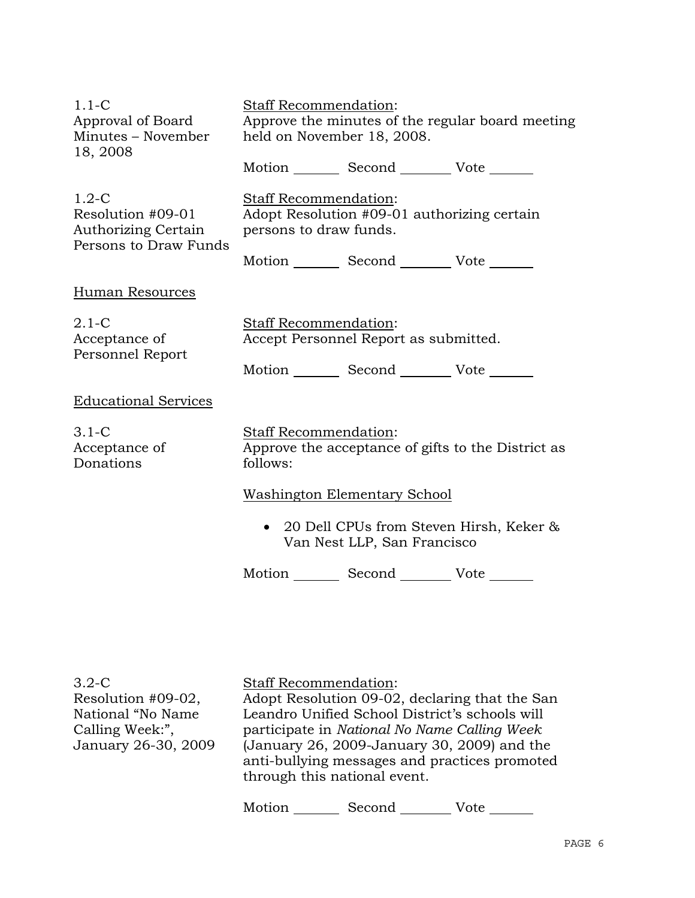| $1.1-C$<br>Approval of Board<br>Minutes - November<br>18, 2008                      | <b>Staff Recommendation:</b><br>Approve the minutes of the regular board meeting<br>held on November 18, 2008.    |
|-------------------------------------------------------------------------------------|-------------------------------------------------------------------------------------------------------------------|
|                                                                                     | Motion Second Vote                                                                                                |
| $1.2-C$<br>Resolution #09-01<br><b>Authorizing Certain</b><br>Persons to Draw Funds | <b>Staff Recommendation:</b><br>Adopt Resolution #09-01 authorizing certain<br>persons to draw funds.             |
|                                                                                     | Motion Second Vote                                                                                                |
| Human Resources                                                                     |                                                                                                                   |
| $2.1-C$<br>Acceptance of<br>Personnel Report                                        | Staff Recommendation:<br>Accept Personnel Report as submitted.<br>Motion _________ Second __________ Vote _______ |
| <b>Educational Services</b>                                                         |                                                                                                                   |
| $3.1 - C$<br>Acceptance of<br>Donations                                             | Staff Recommendation:<br>Approve the acceptance of gifts to the District as<br>follows:                           |
|                                                                                     | Washington Elementary School                                                                                      |
|                                                                                     | • 20 Dell CPUs from Steven Hirsh, Keker &<br>Van Nest LLP, San Francisco                                          |
|                                                                                     | Motion _________ Second __________ Vote                                                                           |
|                                                                                     |                                                                                                                   |

| $3.2 - C$<br>Resolution #09-02,<br>National "No Name<br>Calling Week:",<br>January 26-30, 2009 | <b>Staff Recommendation:</b><br>through this national event. | Adopt Resolution 09-02, declaring that the San<br>Leandro Unified School District's schools will<br>participate in National No Name Calling Week<br>(January 26, 2009-January 30, 2009) and the<br>anti-bullying messages and practices promoted |      |
|------------------------------------------------------------------------------------------------|--------------------------------------------------------------|--------------------------------------------------------------------------------------------------------------------------------------------------------------------------------------------------------------------------------------------------|------|
|                                                                                                | Motion                                                       | Second                                                                                                                                                                                                                                           | Vote |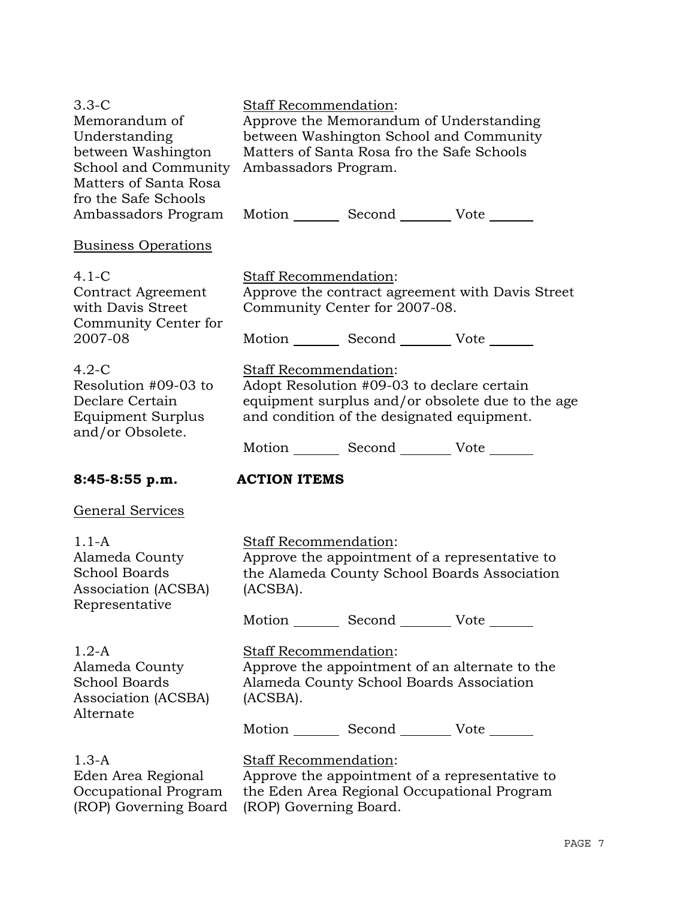| $3.3 - C$<br>Memorandum of<br>Understanding<br>between Washington<br>School and Community<br>Matters of Santa Rosa<br>fro the Safe Schools | Staff Recommendation:<br>Approve the Memorandum of Understanding<br>between Washington School and Community<br>Matters of Santa Rosa fro the Safe Schools<br>Ambassadors Program. |  |
|--------------------------------------------------------------------------------------------------------------------------------------------|-----------------------------------------------------------------------------------------------------------------------------------------------------------------------------------|--|
| Ambassadors Program                                                                                                                        | Motion _________ Second __________ Vote _______                                                                                                                                   |  |
| <b>Business Operations</b>                                                                                                                 |                                                                                                                                                                                   |  |
| $4.1 - C$<br><b>Contract Agreement</b><br>with Davis Street<br>Community Center for<br>2007-08                                             | Staff Recommendation:<br>Approve the contract agreement with Davis Street<br>Community Center for 2007-08.<br>Motion _________ Second __________ Vote _______                     |  |
| $4.2-C$<br>Resolution #09-03 to<br>Declare Certain<br>Equipment Surplus<br>and/or Obsolete.                                                | Staff Recommendation:<br>Adopt Resolution #09-03 to declare certain<br>equipment surplus and/or obsolete due to the age<br>and condition of the designated equipment.             |  |
|                                                                                                                                            | Motion _________ Second __________ Vote _______                                                                                                                                   |  |
| 8:45-8:55 p.m.                                                                                                                             | <b>ACTION ITEMS</b>                                                                                                                                                               |  |
|                                                                                                                                            |                                                                                                                                                                                   |  |
| <b>General Services</b>                                                                                                                    |                                                                                                                                                                                   |  |
| $1.1-A$<br>Alameda County<br><b>School Boards</b><br>Association (ACSBA)                                                                   | <b>Staff Recommendation:</b><br>Approve the appointment of a representative to<br>the Alameda County School Boards Association<br>(ACSBA).                                        |  |
| Representative                                                                                                                             | Motion _________ Second _________ Vote _______                                                                                                                                    |  |
| $1.2-A$<br>Alameda County<br><b>School Boards</b><br>Association (ACSBA)                                                                   | Staff Recommendation:<br>Approve the appointment of an alternate to the<br>Alameda County School Boards Association<br>(ACSBA).                                                   |  |
| Alternate                                                                                                                                  | Motion _________ Second __________ Vote _______                                                                                                                                   |  |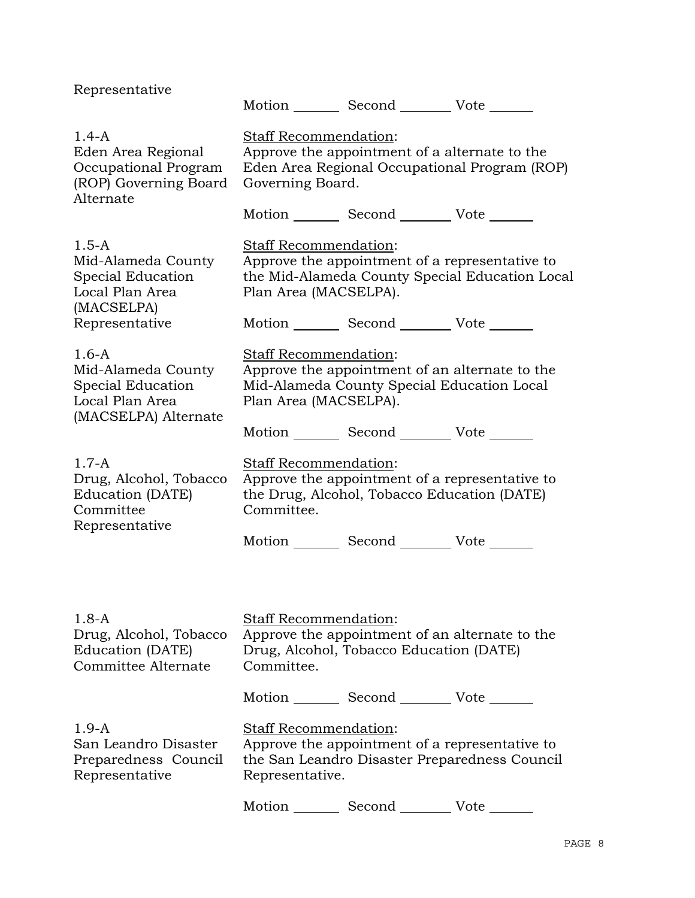| Representative                                                                                |                                                | Motion Second Vote                                                                                                                                |
|-----------------------------------------------------------------------------------------------|------------------------------------------------|---------------------------------------------------------------------------------------------------------------------------------------------------|
| $1.4-A$<br>Eden Area Regional<br>Occupational Program<br>(ROP) Governing Board<br>Alternate   | Staff Recommendation:<br>Governing Board.      | Approve the appointment of a alternate to the<br>Eden Area Regional Occupational Program (ROP)<br>Motion _________ Second __________ Vote _______ |
| $1.5 - A$<br>Mid-Alameda County<br>Special Education<br>Local Plan Area<br>(MACSELPA)         | Staff Recommendation:<br>Plan Area (MACSELPA). | Approve the appointment of a representative to<br>the Mid-Alameda County Special Education Local                                                  |
| Representative                                                                                |                                                | Motion _________ Second __________ Vote _______                                                                                                   |
| $1.6-A$<br>Mid-Alameda County<br>Special Education<br>Local Plan Area<br>(MACSELPA) Alternate | Staff Recommendation:<br>Plan Area (MACSELPA). | Approve the appointment of an alternate to the<br>Mid-Alameda County Special Education Local                                                      |
|                                                                                               |                                                | Motion _________ Second __________ Vote _______                                                                                                   |
| $1.7-A$<br>Drug, Alcohol, Tobacco<br>Education (DATE)<br>Committee<br>Representative          | Staff Recommendation:<br>Committee.            | Approve the appointment of a representative to<br>the Drug, Alcohol, Tobacco Education (DATE)                                                     |
|                                                                                               |                                                | Motion _________ Second __________ Vote _______                                                                                                   |
| $1.8-A$<br>Drug, Alcohol, Tobacco<br>Education (DATE)<br>Committee Alternate                  | Staff Recommendation:<br>Committee.            | Approve the appointment of an alternate to the<br>Drug, Alcohol, Tobacco Education (DATE)                                                         |
|                                                                                               |                                                | Motion _________ Second __________ Vote _______                                                                                                   |
| $1.9-A$<br>San Leandro Disaster<br>Preparedness Council                                       | <b>Staff Recommendation:</b>                   | Approve the appointment of a representative to<br>the San Leandro Disaster Preparedness Council                                                   |
| Representative                                                                                | Representative.                                |                                                                                                                                                   |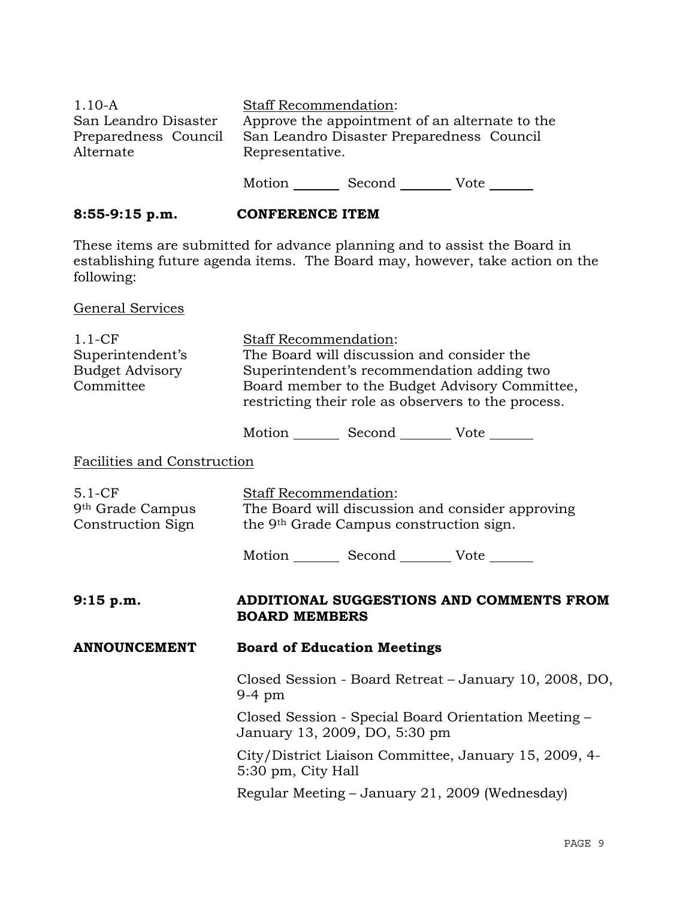| $1.10 - A$<br>San Leandro Disaster<br>Preparedness Council<br>Alternate | Staff Recommendation:<br>Approve the appointment of an alternate to the<br>San Leandro Disaster Preparedness Council<br>Representative.                                                                                    |
|-------------------------------------------------------------------------|----------------------------------------------------------------------------------------------------------------------------------------------------------------------------------------------------------------------------|
|                                                                         | Motion _________ Second __________ Vote _______                                                                                                                                                                            |
| 8:55-9:15 p.m.                                                          | <b>CONFERENCE ITEM</b>                                                                                                                                                                                                     |
| following:                                                              | These items are submitted for advance planning and to assist the Board in<br>establishing future agenda items. The Board may, however, take action on the                                                                  |
| <b>General Services</b>                                                 |                                                                                                                                                                                                                            |
| $1.1-CF$<br>Superintendent's<br><b>Budget Advisory</b><br>Committee     | Staff Recommendation:<br>The Board will discussion and consider the<br>Superintendent's recommendation adding two<br>Board member to the Budget Advisory Committee,<br>restricting their role as observers to the process. |
|                                                                         | Motion _________ Second __________ Vote _______                                                                                                                                                                            |
| Facilities and Construction                                             |                                                                                                                                                                                                                            |
| $5.1 - CF$<br>9 <sup>th</sup> Grade Campus<br>Construction Sign         | <b>Staff Recommendation:</b><br>The Board will discussion and consider approving<br>the 9 <sup>th</sup> Grade Campus construction sign.                                                                                    |
|                                                                         | Motion _________ Second __________ Vote _______                                                                                                                                                                            |
| 9:15 p.m.                                                               | ADDITIONAL SUGGESTIONS AND COMMENTS FROM<br><b>BOARD MEMBERS</b>                                                                                                                                                           |
| <b>ANNOUNCEMENT</b>                                                     | <b>Board of Education Meetings</b>                                                                                                                                                                                         |
|                                                                         | Closed Session - Board Retreat – January 10, 2008, DO,<br>$9-4$ pm                                                                                                                                                         |
|                                                                         | Closed Session - Special Board Orientation Meeting –<br>January 13, 2009, DO, 5:30 pm                                                                                                                                      |
|                                                                         | City/District Liaison Committee, January 15, 2009, 4-<br>5:30 pm, City Hall                                                                                                                                                |
|                                                                         | Regular Meeting – January 21, 2009 (Wednesday)                                                                                                                                                                             |